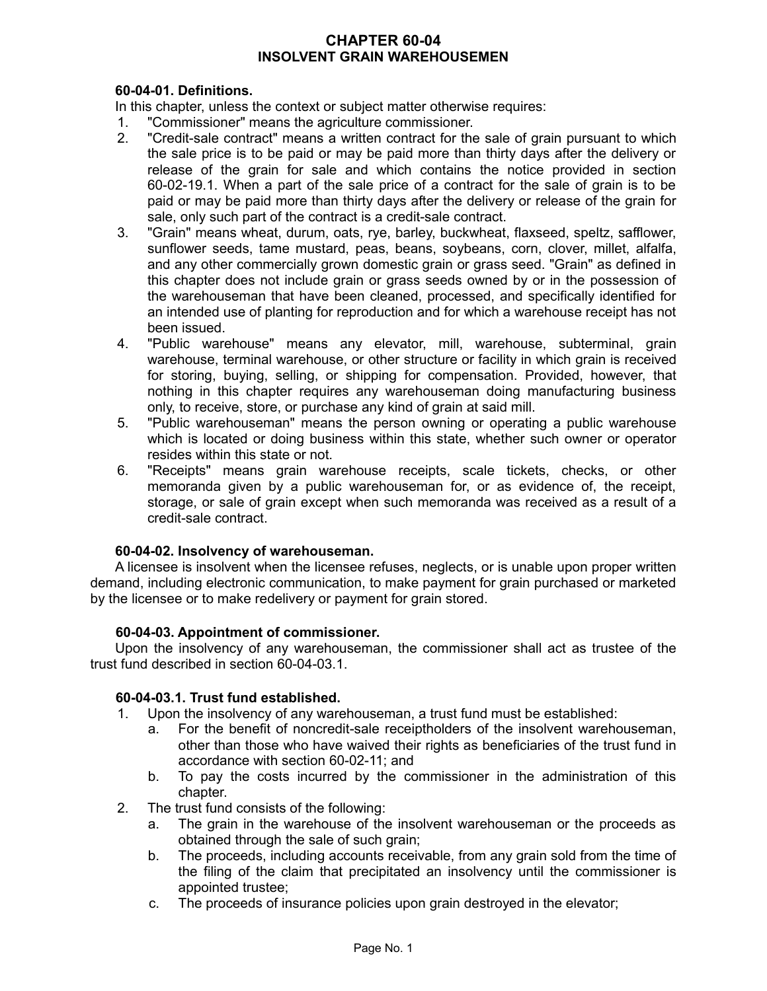## **CHAPTER 60-04 INSOLVENT GRAIN WAREHOUSEMEN**

# **60-04-01. Definitions.**

In this chapter, unless the context or subject matter otherwise requires:

- 1. "Commissioner" means the agriculture commissioner.
- 2. "Credit-sale contract" means a written contract for the sale of grain pursuant to which the sale price is to be paid or may be paid more than thirty days after the delivery or release of the grain for sale and which contains the notice provided in section 60-02-19.1. When a part of the sale price of a contract for the sale of grain is to be paid or may be paid more than thirty days after the delivery or release of the grain for sale, only such part of the contract is a credit-sale contract.
- 3. "Grain" means wheat, durum, oats, rye, barley, buckwheat, flaxseed, speltz, safflower, sunflower seeds, tame mustard, peas, beans, soybeans, corn, clover, millet, alfalfa, and any other commercially grown domestic grain or grass seed. "Grain" as defined in this chapter does not include grain or grass seeds owned by or in the possession of the warehouseman that have been cleaned, processed, and specifically identified for an intended use of planting for reproduction and for which a warehouse receipt has not been issued.
- 4. "Public warehouse" means any elevator, mill, warehouse, subterminal, grain warehouse, terminal warehouse, or other structure or facility in which grain is received for storing, buying, selling, or shipping for compensation. Provided, however, that nothing in this chapter requires any warehouseman doing manufacturing business only, to receive, store, or purchase any kind of grain at said mill.
- 5. "Public warehouseman" means the person owning or operating a public warehouse which is located or doing business within this state, whether such owner or operator resides within this state or not.
- 6. "Receipts" means grain warehouse receipts, scale tickets, checks, or other memoranda given by a public warehouseman for, or as evidence of, the receipt, storage, or sale of grain except when such memoranda was received as a result of a credit-sale contract.

# **60-04-02. Insolvency of warehouseman.**

A licensee is insolvent when the licensee refuses, neglects, or is unable upon proper written demand, including electronic communication, to make payment for grain purchased or marketed by the licensee or to make redelivery or payment for grain stored.

#### **60-04-03. Appointment of commissioner.**

Upon the insolvency of any warehouseman, the commissioner shall act as trustee of the trust fund described in section 60-04-03.1.

# **60-04-03.1. Trust fund established.**

- 1. Upon the insolvency of any warehouseman, a trust fund must be established:
	- a. For the benefit of noncredit-sale receiptholders of the insolvent warehouseman, other than those who have waived their rights as beneficiaries of the trust fund in accordance with section 60-02-11; and
	- b. To pay the costs incurred by the commissioner in the administration of this chapter.
- 2. The trust fund consists of the following:
	- a. The grain in the warehouse of the insolvent warehouseman or the proceeds as obtained through the sale of such grain;
	- b. The proceeds, including accounts receivable, from any grain sold from the time of the filing of the claim that precipitated an insolvency until the commissioner is appointed trustee;
	- c. The proceeds of insurance policies upon grain destroyed in the elevator;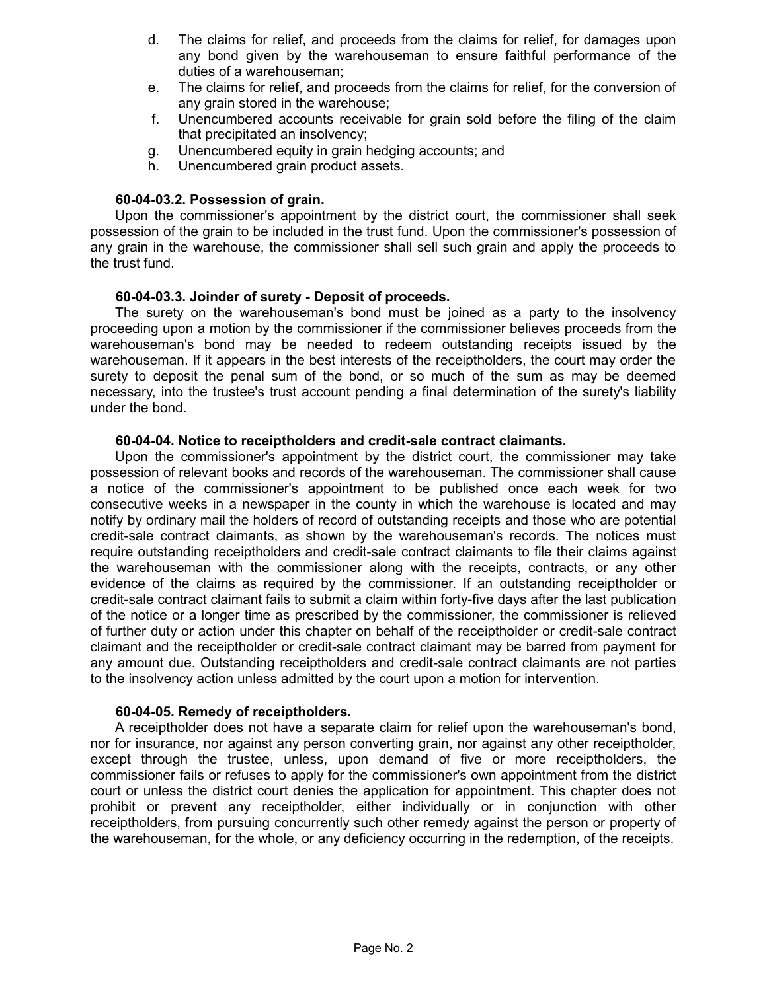- d. The claims for relief, and proceeds from the claims for relief, for damages upon any bond given by the warehouseman to ensure faithful performance of the duties of a warehouseman;
- e. The claims for relief, and proceeds from the claims for relief, for the conversion of any grain stored in the warehouse;
- f. Unencumbered accounts receivable for grain sold before the filing of the claim that precipitated an insolvency;
- g. Unencumbered equity in grain hedging accounts; and
- h. Unencumbered grain product assets.

## **60-04-03.2. Possession of grain.**

Upon the commissioner's appointment by the district court, the commissioner shall seek possession of the grain to be included in the trust fund. Upon the commissioner's possession of any grain in the warehouse, the commissioner shall sell such grain and apply the proceeds to the trust fund.

## **60-04-03.3. Joinder of surety - Deposit of proceeds.**

The surety on the warehouseman's bond must be joined as a party to the insolvency proceeding upon a motion by the commissioner if the commissioner believes proceeds from the warehouseman's bond may be needed to redeem outstanding receipts issued by the warehouseman. If it appears in the best interests of the receiptholders, the court may order the surety to deposit the penal sum of the bond, or so much of the sum as may be deemed necessary, into the trustee's trust account pending a final determination of the surety's liability under the bond.

## **60-04-04. Notice to receiptholders and credit-sale contract claimants.**

Upon the commissioner's appointment by the district court, the commissioner may take possession of relevant books and records of the warehouseman. The commissioner shall cause a notice of the commissioner's appointment to be published once each week for two consecutive weeks in a newspaper in the county in which the warehouse is located and may notify by ordinary mail the holders of record of outstanding receipts and those who are potential credit-sale contract claimants, as shown by the warehouseman's records. The notices must require outstanding receiptholders and credit-sale contract claimants to file their claims against the warehouseman with the commissioner along with the receipts, contracts, or any other evidence of the claims as required by the commissioner. If an outstanding receiptholder or credit-sale contract claimant fails to submit a claim within forty-five days after the last publication of the notice or a longer time as prescribed by the commissioner, the commissioner is relieved of further duty or action under this chapter on behalf of the receiptholder or credit-sale contract claimant and the receiptholder or credit-sale contract claimant may be barred from payment for any amount due. Outstanding receiptholders and credit-sale contract claimants are not parties to the insolvency action unless admitted by the court upon a motion for intervention.

#### **60-04-05. Remedy of receiptholders.**

A receiptholder does not have a separate claim for relief upon the warehouseman's bond, nor for insurance, nor against any person converting grain, nor against any other receiptholder, except through the trustee, unless, upon demand of five or more receiptholders, the commissioner fails or refuses to apply for the commissioner's own appointment from the district court or unless the district court denies the application for appointment. This chapter does not prohibit or prevent any receiptholder, either individually or in conjunction with other receiptholders, from pursuing concurrently such other remedy against the person or property of the warehouseman, for the whole, or any deficiency occurring in the redemption, of the receipts.